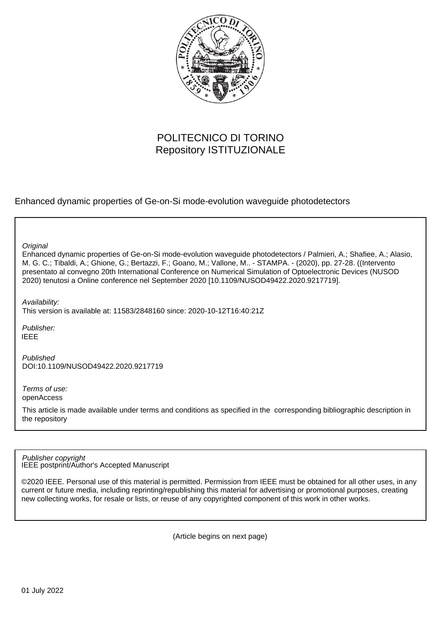

# POLITECNICO DI TORINO Repository ISTITUZIONALE

Enhanced dynamic properties of Ge-on-Si mode-evolution waveguide photodetectors

**Original** 

Enhanced dynamic properties of Ge-on-Si mode-evolution waveguide photodetectors / Palmieri, A.; Shafiee, A.; Alasio, M. G. C.; Tibaldi, A.; Ghione, G.; Bertazzi, F.; Goano, M.; Vallone, M.. - STAMPA. - (2020), pp. 27-28. ((Intervento presentato al convegno 20th International Conference on Numerical Simulation of Optoelectronic Devices (NUSOD 2020) tenutosi a Online conference nel September 2020 [10.1109/NUSOD49422.2020.9217719].

Availability:

This version is available at: 11583/2848160 since: 2020-10-12T16:40:21Z

Publisher: IEEE

Published DOI:10.1109/NUSOD49422.2020.9217719

Terms of use: openAccess

This article is made available under terms and conditions as specified in the corresponding bibliographic description in the repository

IEEE postprint/Author's Accepted Manuscript Publisher copyright

©2020 IEEE. Personal use of this material is permitted. Permission from IEEE must be obtained for all other uses, in any current or future media, including reprinting/republishing this material for advertising or promotional purposes, creating new collecting works, for resale or lists, or reuse of any copyrighted component of this work in other works.

(Article begins on next page)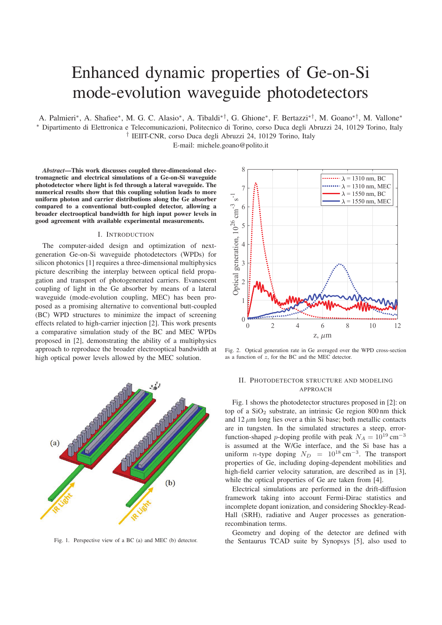# Enhanced dynamic properties of Ge-on-Si mode-evolution waveguide photodetectors

A. Palmieri∗, A. Shafiee∗, M. G. C. Alasio∗, A. Tibaldi∗†, G. Ghione∗, F. Bertazzi∗†, M. Goano∗†, M. Vallone∗ ∗ Dipartimento di Elettronica e Telecomunicazioni, Politecnico di Torino, corso Duca degli Abruzzi 24, 10129 Torino, Italy † IEIIT-CNR, corso Duca degli Abruzzi 24, 10129 Torino, Italy

E-mail: michele.goano@polito.it

*Abstract*—This work discusses coupled three-dimensional electromagnetic and electrical simulations of a Ge-on-Si waveguide photodetector where light is fed through a lateral waveguide. The numerical results show that this coupling solution leads to more uniform photon and carrier distributions along the Ge absorber compared to a conventional butt-coupled detector, allowing a broader electrooptical bandwidth for high input power levels in good agreement with available experimental measurements.

### I. INTRODUCTION

The computer-aided design and optimization of nextgeneration Ge-on-Si waveguide photodetectors (WPDs) for silicon photonics [1] requires a three-dimensional multiphysics picture describing the interplay between optical field propagation and transport of photogenerated carriers. Evanescent coupling of light in the Ge absorber by means of a lateral waveguide (mode-evolution coupling, MEC) has been proposed as a promising alternative to conventional butt-coupled (BC) WPD structures to minimize the impact of screening effects related to high-carrier injection [2]. This work presents a comparative simulation study of the BC and MEC WPDs proposed in [2], demonstrating the ability of a multiphysics approach to reproduce the broader electrooptical bandwidth at high optical power levels allowed by the MEC solution.



Fig. 1. Perspective view of a BC (a) and MEC (b) detector.



Fig. 2. Optical generation rate in Ge averaged over the WPD cross-section as a function of z, for the BC and the MEC detector.

# II. PHOTODETECTOR STRUCTURE AND MODELING APPROACH

Fig. 1 shows the photodetector structures proposed in [2]: on top of a  $SiO<sub>2</sub>$  substrate, an intrinsic Ge region 800 nm thick and  $12 \mu m$  long lies over a thin Si base; both metallic contacts are in tungsten. In the simulated structures a steep, errorfunction-shaped p-doping profile with peak  $N_A = 10^{19}$  cm<sup>-3</sup> is assumed at the W/Ge interface, and the Si base has a uniform *n*-type doping  $N_D = 10^{18} \text{ cm}^{-3}$ . The transport properties of Ge, including doping-dependent mobilities and high-field carrier velocity saturation, are described as in [3], while the optical properties of Ge are taken from [4].

Electrical simulations are performed in the drift-diffusion framework taking into account Fermi-Dirac statistics and incomplete dopant ionization, and considering Shockley-Read-Hall (SRH), radiative and Auger processes as generationrecombination terms.

Geometry and doping of the detector are defined with the Sentaurus TCAD suite by Synopsys [5], also used to